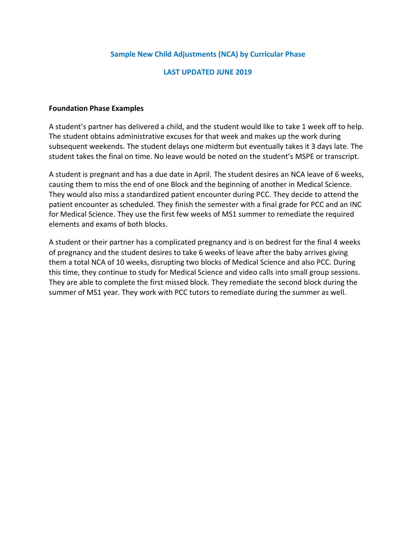## **Sample New Child Adjustments (NCA) by Curricular Phase**

### **LAST UPDATED JUNE 2019**

#### **Foundation Phase Examples**

A student's partner has delivered a child, and the student would like to take 1 week off to help. The student obtains administrative excuses for that week and makes up the work during subsequent weekends. The student delays one midterm but eventually takes it 3 days late. The student takes the final on time. No leave would be noted on the student's MSPE or transcript.

A student is pregnant and has a due date in April. The student desires an NCA leave of 6 weeks, causing them to miss the end of one Block and the beginning of another in Medical Science. They would also miss a standardized patient encounter during PCC. They decide to attend the patient encounter as scheduled. They finish the semester with a final grade for PCC and an INC for Medical Science. They use the first few weeks of MS1 summer to remediate the required elements and exams of both blocks.

A student or their partner has a complicated pregnancy and is on bedrest for the final 4 weeks of pregnancy and the student desires to take 6 weeks of leave after the baby arrives giving them a total NCA of 10 weeks, disrupting two blocks of Medical Science and also PCC. During this time, they continue to study for Medical Science and video calls into small group sessions. They are able to complete the first missed block. They remediate the second block during the summer of MS1 year. They work with PCC tutors to remediate during the summer as well.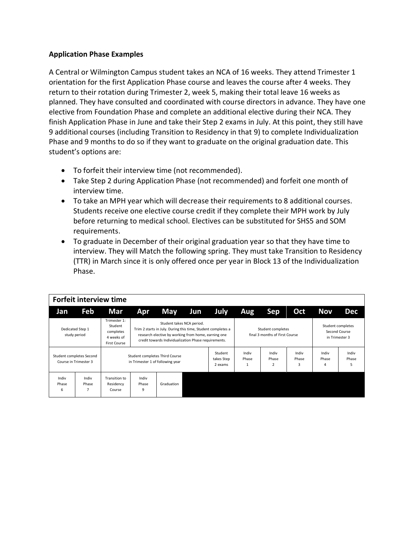### **Application Phase Examples**

A Central or Wilmington Campus student takes an NCA of 16 weeks. They attend Trimester 1 orientation for the first Application Phase course and leaves the course after 4 weeks. They return to their rotation during Trimester 2, week 5, making their total leave 16 weeks as planned. They have consulted and coordinated with course directors in advance. They have one elective from Foundation Phase and complete an additional elective during their NCA. They finish Application Phase in June and take their Step 2 exams in July. At this point, they still have 9 additional courses (including Transition to Residency in that 9) to complete Individualization Phase and 9 months to do so if they want to graduate on the original graduation date. This student's options are:

- To forfeit their interview time (not recommended).
- Take Step 2 during Application Phase (not recommended) and forfeit one month of interview time.
- To take an MPH year which will decrease their requirements to 8 additional courses. Students receive one elective course credit if they complete their MPH work by July before returning to medical school. Electives can be substituted for SHS5 and SOM requirements.
- To graduate in December of their original graduation year so that they have time to interview. They will Match the following spring. They must take Transition to Residency (TTR) in March since it is only offered once per year in Block 13 of the Individualization Phase.

|                     | Forfeit interview time                            |                                                                    |                     |                                                                                                                                                                                                                                                                 |     |                                  |                |                                            |                     |                     |                                                      |  |  |
|---------------------|---------------------------------------------------|--------------------------------------------------------------------|---------------------|-----------------------------------------------------------------------------------------------------------------------------------------------------------------------------------------------------------------------------------------------------------------|-----|----------------------------------|----------------|--------------------------------------------|---------------------|---------------------|------------------------------------------------------|--|--|
| Jan                 | Feb                                               | Mar                                                                | <b>Apr</b>          | May                                                                                                                                                                                                                                                             | Jun | July                             | Aug            | Sep                                        | Oct                 | Nov                 | <b>Dec</b>                                           |  |  |
|                     | Dedicated Step 1<br>study period                  | Trimester 1:<br>Student<br>completes<br>4 weeks of<br>First Course |                     | Student takes NCA period.<br>Trim 2 starts in July. During this time, Student completes a<br>Student completes<br>final 3 months of First Course<br>research elective by working from home, earning one<br>credit towards Individualization Phase requirements. |     |                                  |                |                                            |                     |                     | Student completes<br>Second Course<br>in Trimester 3 |  |  |
|                     | Student completes Second<br>Course in Trimester 3 | Student completes Third Course<br>in Trimester 1 of following year |                     |                                                                                                                                                                                                                                                                 |     | Student<br>takes Step<br>2 exams | Indiv<br>Phase | Indiv<br>Phase<br>$\overline{\phantom{a}}$ | Indiv<br>Phase<br>3 | Indiv<br>Phase<br>4 | Indiv<br>Phase<br>5                                  |  |  |
| Indiv<br>Phase<br>6 | Indiv<br>Phase<br>7                               | Transition to<br>Residency<br>Course                               | Indiv<br>Phase<br>9 | Graduation                                                                                                                                                                                                                                                      |     |                                  |                |                                            |                     |                     |                                                      |  |  |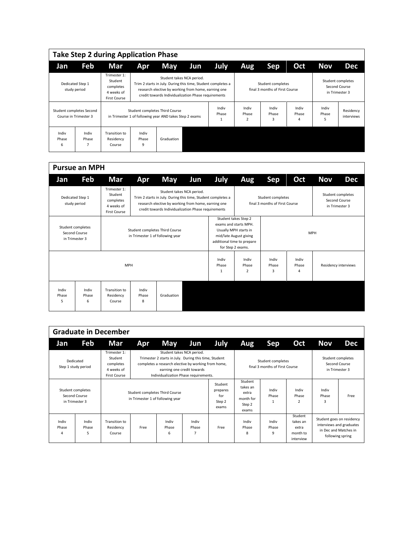|                     |                                                   | <b>Take Step 2 during Application Phase</b>                        |                                                                                           |                                                                                                                                                                                                         |     |                |                                  |                     |                                                     |                     |                         |
|---------------------|---------------------------------------------------|--------------------------------------------------------------------|-------------------------------------------------------------------------------------------|---------------------------------------------------------------------------------------------------------------------------------------------------------------------------------------------------------|-----|----------------|----------------------------------|---------------------|-----------------------------------------------------|---------------------|-------------------------|
| Jan                 | Feb                                               | Mar                                                                | <b>Apr</b>                                                                                | May                                                                                                                                                                                                     | Jun | <b>July</b>    | Aug                              | Sep                 | Oct                                                 | Nov                 | <b>Dec</b>              |
|                     | Dedicated Step 1<br>study period                  | Trimester 1:<br>Student<br>completes<br>4 weeks of<br>First Course |                                                                                           | Student takes NCA period.<br>Trim 2 starts in July. During this time, Student completes a<br>research elective by working from home, earning one<br>credit towards Individualization Phase requirements |     |                |                                  |                     | Student completes<br>final 3 months of First Course |                     |                         |
|                     | Student completes Second<br>Course in Trimester 3 |                                                                    | Student completes Third Course<br>in Trimester 1 of following year AND takes Step 2 exams |                                                                                                                                                                                                         |     | Indiv<br>Phase | Indiv<br>Phase<br>$\overline{2}$ | Indiv<br>Phase<br>3 | Indiv<br>Phase<br>4                                 | Indiv<br>Phase<br>5 | Residency<br>interviews |
| Indiv<br>Phase<br>6 | Indiv<br>Phase<br>7                               | Transition to<br>Residency<br>Course                               | Indiv<br>Phase<br>9                                                                       | Graduation                                                                                                                                                                                              |     |                |                                  |                     |                                                     |                     |                         |

|                     | <b>Pursue an MPH</b>                                 |                                                                           |                                  |                                                                                                                                                                                                         |     |                     |                                                                                                                                                                   |                                                     |                     |                                 |                      |
|---------------------|------------------------------------------------------|---------------------------------------------------------------------------|----------------------------------|---------------------------------------------------------------------------------------------------------------------------------------------------------------------------------------------------------|-----|---------------------|-------------------------------------------------------------------------------------------------------------------------------------------------------------------|-----------------------------------------------------|---------------------|---------------------------------|----------------------|
| Jan                 | <b>Feb</b>                                           | Mar                                                                       | Apr                              | <b>May</b>                                                                                                                                                                                              | Jun | <b>July</b>         | <b>Aug</b>                                                                                                                                                        | <b>Sep</b>                                          | Oct                 | <b>Nov</b>                      | <b>Dec</b>           |
|                     | Dedicated Step 1<br>study period                     | Trimester 1:<br>Student<br>completes<br>4 weeks of<br><b>First Course</b> |                                  | Student takes NCA period.<br>Trim 2 starts in July. During this time, Student completes a<br>research elective by working from home, earning one<br>credit towards Individualization Phase requirements |     |                     |                                                                                                                                                                   | Student completes<br>final 3 months of First Course |                     | Second Course<br>in Trimester 3 | Student completes    |
|                     | Student completes<br>Second Course<br>in Trimester 3 |                                                                           | in Trimester 1 of following year | Student completes Third Course                                                                                                                                                                          |     |                     | Student takes Step 2<br>exams and starts MPH.<br>Usually MPH starts in<br><b>MPH</b><br>mid/late August giving<br>additional time to prepare<br>for Step 2 exams. |                                                     |                     |                                 |                      |
|                     | <b>MPH</b>                                           |                                                                           |                                  |                                                                                                                                                                                                         |     | Indiv<br>Phase<br>1 | Indiv<br>Phase<br>2                                                                                                                                               | Indiv<br>Phase<br>3                                 | Indiv<br>Phase<br>4 |                                 | Residency interviews |
| Indiv<br>Phase<br>5 | Indiv<br>Phase<br>6                                  | Transition to<br>Residency<br>Course                                      | Indiv<br>Phase<br>8              | Graduation                                                                                                                                                                                              |     |                     |                                                                                                                                                                   |                                                     |                     |                                 |                      |

|                                                      |                                  | <b>Graduate in December</b>                                        |                                                                    |                                                                                                                                                                                    |                            |                                               |                                                              |                                                     |                                                       |                                                      |                                                                                                    |  |  |
|------------------------------------------------------|----------------------------------|--------------------------------------------------------------------|--------------------------------------------------------------------|------------------------------------------------------------------------------------------------------------------------------------------------------------------------------------|----------------------------|-----------------------------------------------|--------------------------------------------------------------|-----------------------------------------------------|-------------------------------------------------------|------------------------------------------------------|----------------------------------------------------------------------------------------------------|--|--|
| Jan                                                  | Feb                              | Mar                                                                | Apr                                                                | <b>May</b>                                                                                                                                                                         | Jun                        | July                                          | Aug                                                          | Sep                                                 | Oct                                                   | <b>Nov</b>                                           | <b>Dec</b>                                                                                         |  |  |
|                                                      | Dedicated<br>Step 1 study period | Trimester 1:<br>Student<br>completes<br>4 weeks of<br>First Course |                                                                    | Student takes NCA period.<br>Trimester 2 starts in July. During this time, Student<br>completes a research elective by working from home,<br>Individualization Phase requirements. | earning one credit towards |                                               |                                                              | Student completes<br>final 3 months of First Course |                                                       | Student completes<br>Second Course<br>in Trimester 3 |                                                                                                    |  |  |
| Student completes<br>Second Course<br>in Trimester 3 |                                  |                                                                    | Student completes Third Course<br>in Trimester 1 of following year |                                                                                                                                                                                    |                            | Student<br>prepares<br>for<br>Step 2<br>exams | Student<br>takes an<br>extra<br>month for<br>Step 2<br>exams | Indiv<br>Phase                                      | Indiv<br>Phase<br>$\overline{2}$                      | Indiv<br>Phase<br>3                                  | Free                                                                                               |  |  |
| Indiv<br>Phase<br>4                                  | Indiv<br>Phase<br>5              | Transition to<br>Residency<br>Course                               | Free                                                               | Indiv<br>Phase<br>6                                                                                                                                                                | Indiv<br>Phase<br>7        | Free                                          | Indiv<br>Phase<br>8                                          | Indiv<br>Phase<br>9                                 | Student<br>takes an<br>extra<br>month to<br>interview |                                                      | Student goes on residency<br>interviews and graduates<br>in Dec and Matches in<br>following spring |  |  |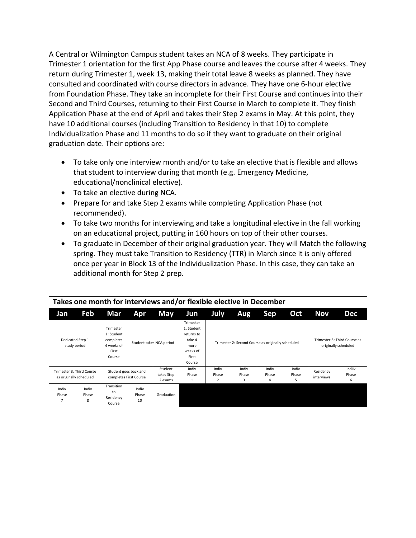A Central or Wilmington Campus student takes an NCA of 8 weeks. They participate in Trimester 1 orientation for the first App Phase course and leaves the course after 4 weeks. They return during Trimester 1, week 13, making their total leave 8 weeks as planned. They have consulted and coordinated with course directors in advance. They have one 6-hour elective from Foundation Phase. They take an incomplete for their First Course and continues into their Second and Third Courses, returning to their First Course in March to complete it. They finish Application Phase at the end of April and takes their Step 2 exams in May. At this point, they have 10 additional courses (including Transition to Residency in that 10) to complete Individualization Phase and 11 months to do so if they want to graduate on their original graduation date. Their options are:

- To take only one interview month and/or to take an elective that is flexible and allows that student to interview during that month (e.g. Emergency Medicine, educational/nonclinical elective).
- To take an elective during NCA.
- Prepare for and take Step 2 exams while completing Application Phase (not recommended).
- To take two months for interviewing and take a longitudinal elective in the fall working on an educational project, putting in 160 hours on top of their other courses.
- To graduate in December of their original graduation year. They will Match the following spring. They must take Transition to Residency (TTR) in March since it is only offered once per year in Block 13 of the Individualization Phase. In this case, they can take an additional month for Step 2 prep.

|                                  |                                                      |                                                                       |                      | Takes one month for interviews and/or flexible elective in December |                                                                                        |                                  |                                                    |                     |                     |                         |                                                      |
|----------------------------------|------------------------------------------------------|-----------------------------------------------------------------------|----------------------|---------------------------------------------------------------------|----------------------------------------------------------------------------------------|----------------------------------|----------------------------------------------------|---------------------|---------------------|-------------------------|------------------------------------------------------|
| Jan                              | Feb                                                  | Mar                                                                   | Apr                  | <b>May</b>                                                          | Jun                                                                                    | July                             | Nov                                                | Dec                 |                     |                         |                                                      |
| Dedicated Step 1<br>study period |                                                      | Trimester<br>1: Student<br>completes<br>4 weeks of<br>First<br>Course |                      | Student takes NCA period                                            | Trimester<br>1: Student<br>returns to<br>take 4<br>more<br>weeks of<br>First<br>Course |                                  | Trimester 2: Second Course as originally scheduled |                     |                     |                         | Trimester 3: Third Course as<br>originally scheduled |
|                                  | Trimester 3: Third Course<br>as originally scheduled | Student goes back and<br>completes First Course                       |                      | Student<br>takes Step<br>2 exams                                    | Indiv<br>Phase<br>$\mathbf{1}$                                                         | Indiv<br>Phase<br>$\overline{2}$ | Indiv<br>Phase<br>3                                | Indiv<br>Phase<br>4 | Indiv<br>Phase<br>5 | Residency<br>interviews | Indiiv<br>Phase<br>6                                 |
| Indiv<br>Phase<br>7              | Indiv<br>Phase<br>8                                  | Transition<br>to<br>Residency<br>Course                               | Indiv<br>Phase<br>10 | Graduation                                                          |                                                                                        |                                  |                                                    |                     |                     |                         |                                                      |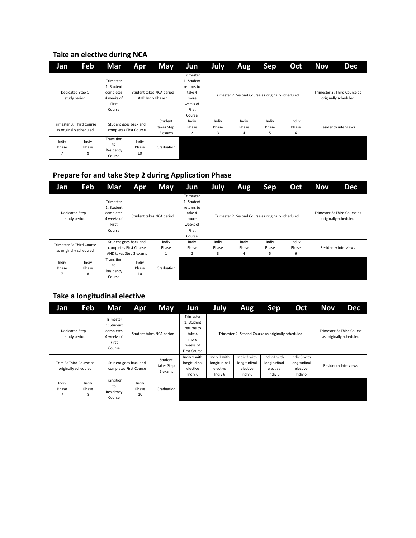|                     |                                                      | Take an elective during NCA                                           |                                                 |                                               |                                                                                        |                                                    |                     |                     |                      |            |                                                      |
|---------------------|------------------------------------------------------|-----------------------------------------------------------------------|-------------------------------------------------|-----------------------------------------------|----------------------------------------------------------------------------------------|----------------------------------------------------|---------------------|---------------------|----------------------|------------|------------------------------------------------------|
| Jan                 | Feb                                                  | Mar                                                                   | <b>Apr</b>                                      | May                                           | Jun                                                                                    | July                                               | Aug                 | <b>Sep</b>          | Oct                  | <b>Nov</b> | <b>Dec</b>                                           |
|                     | Dedicated Step 1<br>study period                     | Trimester<br>1: Student<br>completes<br>4 weeks of<br>First<br>Course |                                                 | Student takes NCA period<br>AND Indiv Phase 1 | Trimester<br>1: Student<br>returns to<br>take 4<br>more<br>weeks of<br>First<br>Course | Trimester 2: Second Course as originally scheduled |                     |                     |                      |            | Trimester 3: Third Course as<br>originally scheduled |
|                     | Trimester 3: Third Course<br>as originally scheduled |                                                                       | Student goes back and<br>completes First Course | Student<br>takes Step<br>2 exams              | Indiv<br>Phase<br>$\overline{2}$                                                       | Indiv<br>Phase<br>3                                | Indiv<br>Phase<br>4 | Indiv<br>Phase<br>5 | Indiiv<br>Phase<br>6 |            | Residency interviews                                 |
| Indiv<br>Phase<br>7 | Indiv<br>Phase<br>8                                  | Transition<br>to<br>Residency<br>Course                               | Indiv<br>Phase<br>10                            | Graduation                                    |                                                                                        |                                                    |                     |                     |                      |            |                                                      |

|                                                      |                                  |                                                                       |                                                                           | Prepare for and take Step 2 during Application Phase |                                                                                        |                     |                     |                                                    |                      |            |                                                      |
|------------------------------------------------------|----------------------------------|-----------------------------------------------------------------------|---------------------------------------------------------------------------|------------------------------------------------------|----------------------------------------------------------------------------------------|---------------------|---------------------|----------------------------------------------------|----------------------|------------|------------------------------------------------------|
| Jan                                                  | Feb                              | Mar                                                                   | Apr                                                                       | May                                                  | Jun                                                                                    | July                | Aug                 | Sep                                                | Oct                  | <b>Nov</b> | <b>Dec</b>                                           |
|                                                      | Dedicated Step 1<br>study period | Trimester<br>1: Student<br>completes<br>4 weeks of<br>First<br>Course |                                                                           | Student takes NCA period                             | Trimester<br>1: Student<br>returns to<br>take 4<br>more<br>weeks of<br>First<br>Course |                     |                     | Trimester 2: Second Course as originally scheduled |                      |            | Trimester 3: Third Course as<br>originally scheduled |
| Trimester 3: Third Course<br>as originally scheduled |                                  |                                                                       | Student goes back and<br>completes First Course<br>AND takes Step 2 exams | Indiv<br>Phase<br>1                                  | Indiv<br>Phase<br>$\overline{2}$                                                       | Indiv<br>Phase<br>3 | Indiv<br>Phase<br>4 | Indiv<br>Phase<br>5                                | Indiiv<br>Phase<br>6 |            | Residency interviews                                 |
| Indiv<br>Phase<br>7                                  | Indiv<br>Phase<br>8              | Transition<br>to<br>Residency<br>Course                               | Indiv<br>Phase<br>10                                                      | Graduation                                           |                                                                                        |                     |                     |                                                    |                      |            |                                                      |

|                     |                                                                                                    | Take a longitudinal elective                                          |                                  |                                                                |                                                                                     |                                                                |                                                                |                                                     |     |                      |                                                      |
|---------------------|----------------------------------------------------------------------------------------------------|-----------------------------------------------------------------------|----------------------------------|----------------------------------------------------------------|-------------------------------------------------------------------------------------|----------------------------------------------------------------|----------------------------------------------------------------|-----------------------------------------------------|-----|----------------------|------------------------------------------------------|
| Jan                 | Feb                                                                                                | Mar                                                                   | <b>Apr</b>                       | <b>May</b>                                                     | Jun                                                                                 | July                                                           | Aug                                                            | Sep                                                 | Oct | Nov                  | Dec                                                  |
|                     | Dedicated Step 1<br>study period                                                                   | Trimester<br>1: Student<br>completes<br>4 weeks of<br>First<br>Course |                                  | Student takes NCA period                                       | Trimester<br>1: Student<br>returns to<br>take 4<br>more<br>weeks of<br>First Course | Trimester 2: Second Course as originally scheduled             |                                                                |                                                     |     |                      | Trimester 3: Third Course<br>as originally scheduled |
|                     | Trim 3: Third Course as<br>Student goes back and<br>originally scheduled<br>completes First Course |                                                                       | Student<br>takes Step<br>2 exams | Indiv 1 with<br>longitudinal<br>elective<br>Indiv <sub>6</sub> | Indiv 2 with<br>longitudinal<br>elective<br>Indiv <sub>6</sub>                      | Indiv 3 with<br>longitudinal<br>elective<br>Indiv <sub>6</sub> | Indiv 4 with<br>longitudinal<br>elective<br>Indiv <sub>6</sub> | Indiv 5 with<br>longitudinal<br>elective<br>Indiy 6 |     | Residency Interviews |                                                      |
| Indiv<br>Phase<br>7 | Indiv<br>Phase<br>8                                                                                | Transition<br>to<br>Residency<br>Course                               | Indiv<br>Phase<br>10             | Graduation                                                     |                                                                                     |                                                                |                                                                |                                                     |     |                      |                                                      |